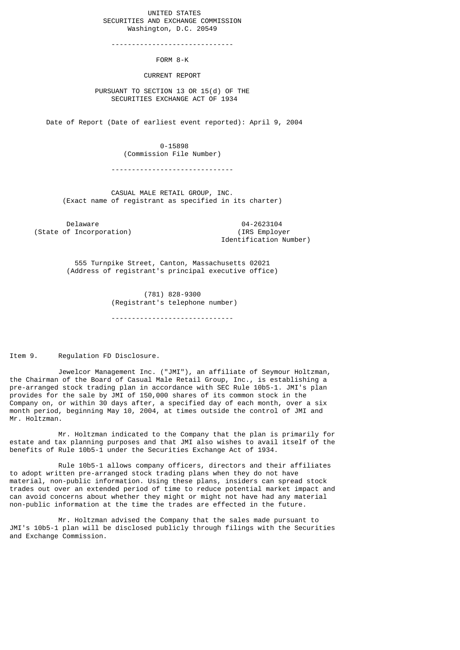## UNITED STATES SECURITIES AND EXCHANGE COMMISSION Washington, D.C. 20549

------------------------------

FORM 8-K

CURRENT REPORT

 PURSUANT TO SECTION 13 OR 15(d) OF THE SECURITIES EXCHANGE ACT OF 1934

Date of Report (Date of earliest event reported): April 9, 2004

 0-15898 (Commission File Number)

------------------------------

 CASUAL MALE RETAIL GROUP, INC. (Exact name of registrant as specified in its charter)

Delaware 04-2623104<br>
Of Incorporation) (IRS Employer (State of Incorporation)

Identification Number)

 555 Turnpike Street, Canton, Massachusetts 02021 (Address of registrant's principal executive office)

> (781) 828-9300 (Registrant's telephone number) ------------------------------

Item 9. Regulation FD Disclosure.

 Jewelcor Management Inc. ("JMI"), an affiliate of Seymour Holtzman, the Chairman of the Board of Casual Male Retail Group, Inc., is establishing a pre-arranged stock trading plan in accordance with SEC Rule 10b5-1. JMI's plan provides for the sale by JMI of 150,000 shares of its common stock in the Company on, or within 30 days after, a specified day of each month, over a six month period, beginning May 10, 2004, at times outside the control of JMI and Mr. Holtzman.

 Mr. Holtzman indicated to the Company that the plan is primarily for estate and tax planning purposes and that JMI also wishes to avail itself of the benefits of Rule 10b5-1 under the Securities Exchange Act of 1934.

 Rule 10b5-1 allows company officers, directors and their affiliates to adopt written pre-arranged stock trading plans when they do not have material, non-public information. Using these plans, insiders can spread stock trades out over an extended period of time to reduce potential market impact and can avoid concerns about whether they might or might not have had any material non-public information at the time the trades are effected in the future.

 Mr. Holtzman advised the Company that the sales made pursuant to JMI's 10b5-1 plan will be disclosed publicly through filings with the Securities and Exchange Commission.